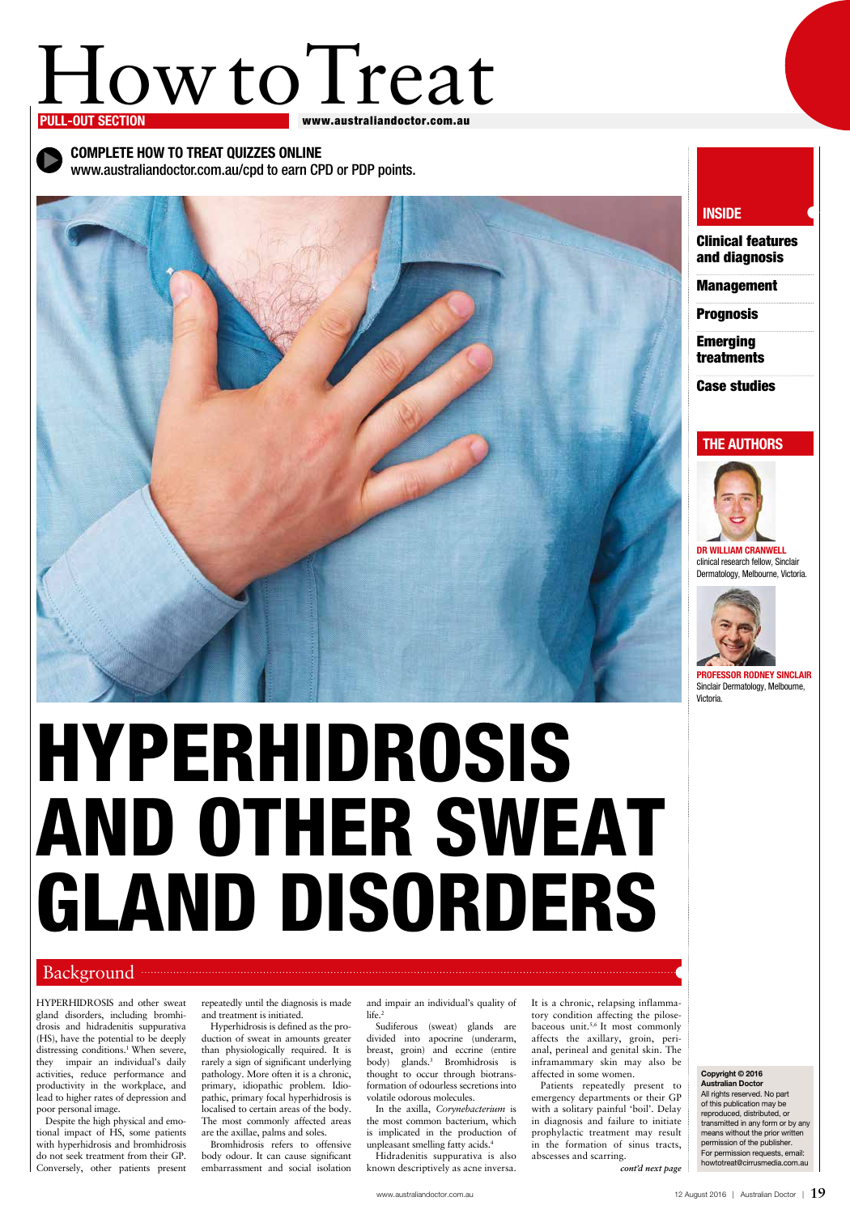# How to Treat

#### www.australiandoctor.com.au

HYPERHIDROSIS and other sweat gland disorders, including bromhidrosis and hidradenitis suppurativa (HS), have the potential to be deeply distressing conditions.<sup>1</sup> When severe, they impair an individual's daily activities, reduce performance and productivity in the workplace, and lead to higher rates of depression and poor personal image.

Despite the high physical and emotional impact of HS, some patients with hyperhidrosis and bromhidrosis do not seek treatment from their GP. Conversely, other patients present

and impair an individual's quality of life.<sup>2</sup>

repeatedly until the diagnosis is made and treatment is initiated.

Hyperhidrosis is defined as the production of sweat in amounts greater than physiologically required. It is rarely a sign of significant underlying pathology. More often it is a chronic, primary, idiopathic problem. Idiopathic, primary focal hyperhidrosis is localised to certain areas of the body. The most commonly affected areas are the axillae, palms and soles.

Bromhidrosis refers to offensive body odour. It can cause significant embarrassment and social isolation

Sudiferous (sweat) glands are divided into apocrine (underarm, breast, groin) and eccrine (entire body) glands.3 Bromhidrosis is thought to occur through biotransformation of odourless secretions into volatile odorous molecules.

**Emerging** treatments

In the axilla, *Corynebacterium* is the most common bacterium, which is implicated in the production of unpleasant smelling fatty acids.4 Hidradenitis suppurativa is also known descriptively as acne inversa.

It is a chronic, relapsing inflammatory condition affecting the pilosebaceous unit.5,6 It most commonly affects the axillary, groin, perianal, perineal and genital skin. The inframammary skin may also be affected in some women.

Complete How to Treat quizzes online www.australiandoctor.com.au/cpd to earn CPD or PDP points.

Patients repeatedly present to emergency departments or their GP with a solitary painful 'boil'. Delay in diagnosis and failure to initiate prophylactic treatment may result in the formation of sinus tracts, abscesses and scarring. *cont'd next page*

#### Copyright © 2016 Australian Doctor All rights reserved. No part of this publication may be reproduced, distributed, or transmitted in any form or by any means without the prior written permission of the publisher. For permission requests, email: howtotreat@cirrusmedia.com.au

Clinical features and diagnosis

Management

**Prognosis** 

Case studies

### **THE AUTHORS**



Dr William Cranwell clinical research fellow, Sinclair Dermatology, Melbourne, Victoria.



Professor Rodney Sinclair Sinclair Dermatology, Melbourne, Victoria.



# Hyperhidrosis and other sweat gland disorders

## **INSIDE**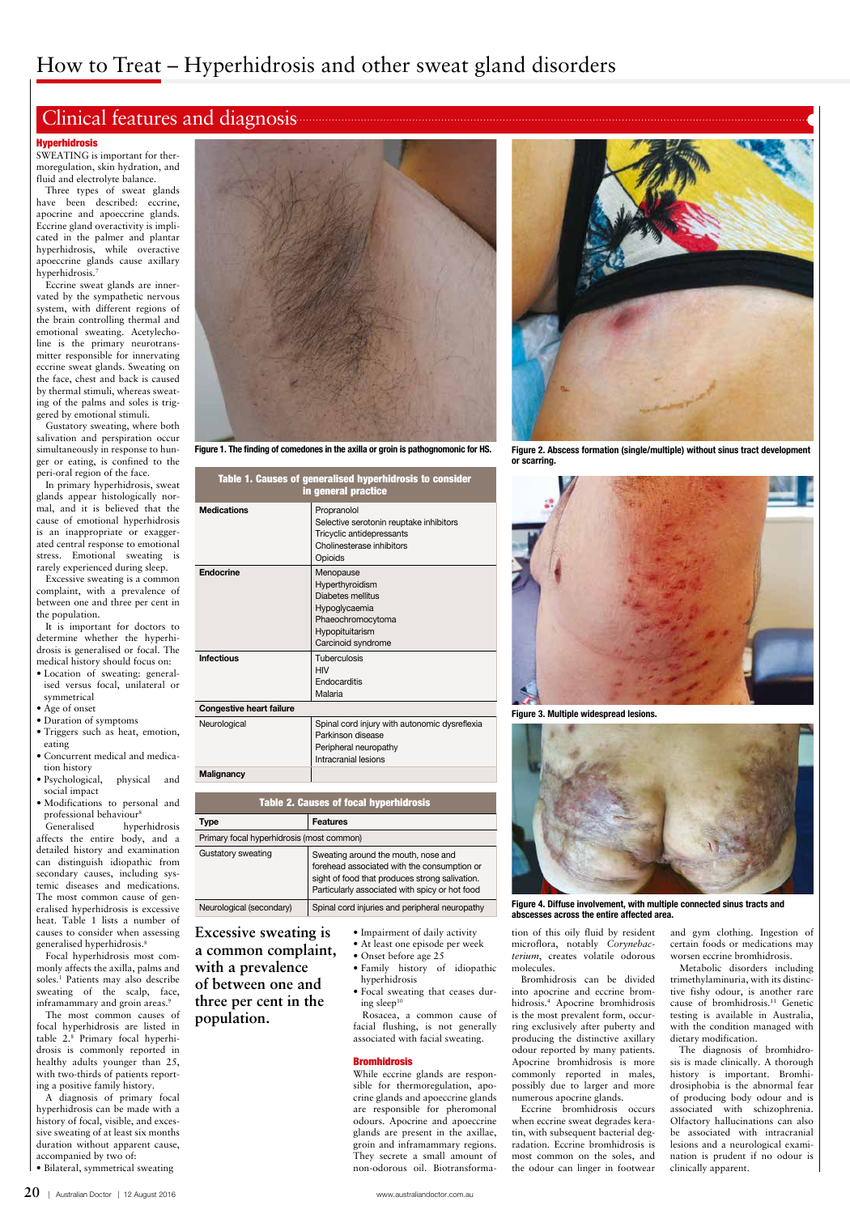## Clinical features and diagnosis

#### **Hyperhidrosis**

SWEATING is important for thermoregulation, skin hydration, and fluid and electrolyte balance.

Three types of sweat glands have been described: eccrine, apocrine and apoeccrine glands. Eccrine gland overactivity is implicated in the palmer and plantar hyperhidrosis, while overactive apoeccrine glands cause axillary hyperhidrosis.7

Eccrine sweat glands are innervated by the sympathetic nervous system, with different regions of the brain controlling thermal and emotional sweating. Acetylecholine is the primary neurotransmitter responsible for innervating eccrine sweat glands. Sweating on the face, chest and back is caused by thermal stimuli, whereas sweating of the palms and soles is triggered by emotional stimuli.

Gustatory sweating, where both salivation and perspiration occur simultaneously in response to hunger or eating, is confined to the peri-oral region of the face.

monly affects the axilla, palms and soles.1 Patients may also describe sweating of the scalp, face, inframammary and groin areas.<sup>9</sup>

In primary hyperhidrosis, sweat glands appear histologically normal, and it is believed that the cause of emotional hyperhidrosis is an inappropriate or exaggerated central response to emotional stress. Emotional sweating is rarely experienced during sleep.

Excessive sweating is a common complaint, with a prevalence of between one and three per cent in the population.

> • Focal sweating that ceases during sleep $10$

It is important for doctors to determine whether the hyperhidrosis is generalised or focal. The medical history should focus on:

- Location of sweating: generalised versus focal, unilateral or symmetrical
- Age of onset
- Duration of symptoms
- Triggers such as heat, emotion,
- eating • Concurrent medical and medication history
- Psychological, physical and social impact
- Modifications to personal and professional behaviour8

Generalised hyperhidrosis affects the entire body, and a detailed history and examination can distinguish idiopathic from secondary causes, including systemic diseases and medications. The most common cause of generalised hyperhidrosis is excessive heat. Table 1 lists a number of causes to consider when assessing generalised hyperhidrosis.8

Focal hyperhidrosis most com-

The most common causes of focal hyperhidrosis are listed in table 2.8 Primary focal hyperhidrosis is commonly reported in healthy adults younger than 25, with two-thirds of patients reporting a positive family history. A diagnosis of primary focal hyperhidrosis can be made with a

history of focal, visible, and excessive sweating of at least six months duration without apparent cause, accompanied by two of:

• Bilateral, symmetrical sweating

- Impairment of daily activity
- At least one episode per week
- Onset before age 25

• Family history of idiopathic hyperhidrosis

Rosacea, a common cause of facial flushing, is not generally associated with facial sweating.

#### **Bromhidrosis**

While eccrine glands are responsible for thermoregulation, apocrine glands and apoeccrine glands are responsible for pheromonal odours. Apocrine and apoeccrine glands are present in the axillae, groin and inframammary regions. They secrete a small amount of non-odorous oil. Biotransformation of this oily fluid by resident microflora, notably *Corynebacterium*, creates volatile odorous

molecules.

Bromhidrosis can be divided into apocrine and eccrine bromhidrosis.4 Apocrine bromhidrosis is the most prevalent form, occurring exclusively after puberty and producing the distinctive axillary odour reported by many patients. Apocrine bromhidrosis is more commonly reported in males, possibly due to larger and more numerous apocrine glands.

Eccrine bromhidrosis occurs when eccrine sweat degrades keratin, with subsequent bacterial degradation. Eccrine bromhidrosis is most common on the soles, and the odour can linger in footwear and gym clothing. Ingestion of certain foods or medications may worsen eccrine bromhidrosis.

Metabolic disorders including trimethylaminuria, with its distinctive fishy odour, is another rare cause of bromhidrosis.11 Genetic testing is available in Australia, with the condition managed with dietary modification.

The diagnosis of bromhidrosis is made clinically. A thorough history is important. Bromhidrosiphobia is the abnormal fear of producing body odour and is associated with schizophrenia. Olfactory hallucinations can also be associated with intracranial lesions and a neurological examination is prudent if no odour is clinically apparent.

Table 1. Causes of generalised hyperhidrosis to consider

| in general practice             |                                                                                                                                  |
|---------------------------------|----------------------------------------------------------------------------------------------------------------------------------|
| <b>Medications</b>              | Propranolol<br>Selective serotonin reuptake inhibitors<br>Tricyclic antidepressants<br>Cholinesterase inhibitors<br>Opioids      |
| Endocrine                       | Menopause<br>Hyperthyroidism<br>Diabetes mellitus<br>Hypoglycaemia<br>Phaeochromocytoma<br>Hypopituitarism<br>Carcinoid syndrome |
| <b>Infectious</b>               | Tuberculosis<br><b>HIV</b><br>Endocarditis<br>Malaria                                                                            |
| <b>Congestive heart failure</b> |                                                                                                                                  |
| Neurological                    | Spinal cord injury with autonomic dysreflexia<br>Parkinson disease<br>Peripheral neuropathy<br>Intracranial lesions              |
| <b>Malignancy</b>               |                                                                                                                                  |

| <b>Table 2. Causes of focal hyperhid</b> |  |  |
|------------------------------------------|--|--|

| Type                                      | <b>Features</b>                                                                                                                                                                        |
|-------------------------------------------|----------------------------------------------------------------------------------------------------------------------------------------------------------------------------------------|
| Primary focal hyperhidrosis (most common) |                                                                                                                                                                                        |
| Gustatory sweating                        | Sweating around the mouth, nose and<br>forehead associated with the consumption or<br>sight of food that produces strong salivation.<br>Particularly associated with spicy or hot food |
| Neurological (secondary)                  | Spinal cord injuries and peripheral neuropathy                                                                                                                                         |
|                                           |                                                                                                                                                                                        |



Figure 1. The finding of comedones in the axilla or groin is pathognomonic for HS.

Figure 2. Abscess formation (single/multiple) without sinus tract development or scarring.



Figure 3. Multiple widespread lesions.



Figure 4. Diffuse involvement, with multiple connected sinus tracts and abscesses across the entire affected area.

#### **Excessive sweating is a common complaint,**

**with a prevalence of between one and three per cent in the population.**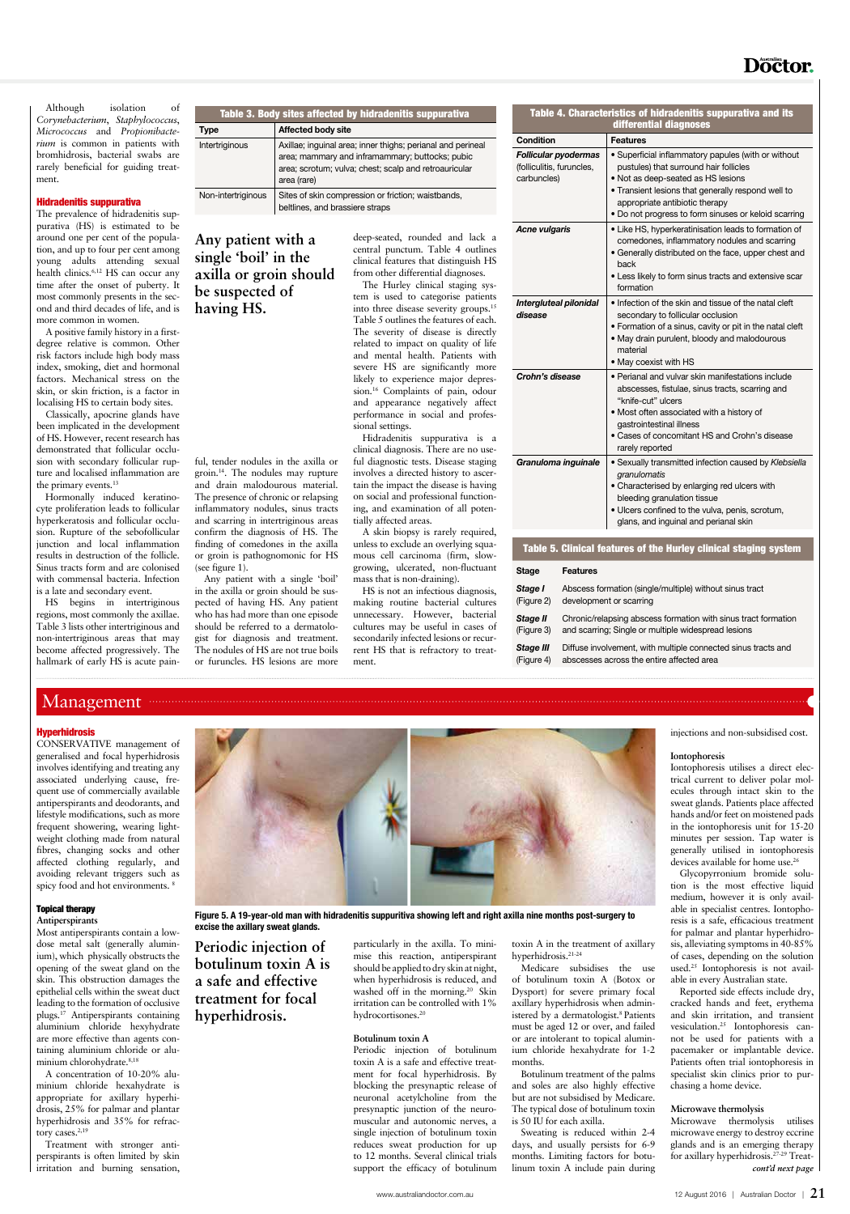## Management

#### **Hyperhidrosis**

## **Doctor**.

Although isolation of *Corynebacterium*, *Staphylococcus*, *Micrococcus* and *Propionibacterium* is common in patients with bromhidrosis, bacterial swabs are rarely beneficial for guiding treatment.

#### Hidradenitis suppurativa

Classically, apocrine glands have been implicated in the development of HS. However, recent research has demonstrated that follicular occlusion with secondary follicular rupture and localised inflammation are the primary events.<sup>13</sup>

The prevalence of hidradenitis suppurativa (HS) is estimated to be around one per cent of the population, and up to four per cent among young adults attending sexual health clinics.<sup>6,12</sup> HS can occur any time after the onset of puberty. It most commonly presents in the second and third decades of life, and is more common in women.

A positive family history in a firstdegree relative is common. Other risk factors include high body mass index, smoking, diet and hormonal factors. Mechanical stress on the skin, or skin friction, is a factor in localising HS to certain body sites.

Hormonally induced keratinocyte proliferation leads to follicular hyperkeratosis and follicular occlusion. Rupture of the sebofollicular junction and local inflammation results in destruction of the follicle. Sinus tracts form and are colonised with commensal bacteria. Infection is a late and secondary event.

HS begins in intertriginous regions, most commonly the axillae. Table 3 lists other intertriginous and non-intertriginous areas that may become affected progressively. The hallmark of early HS is acute painful, tender nodules in the axilla or groin.14. The nodules may rupture and drain malodourous material. The presence of chronic or relapsing inflammatory nodules, sinus tracts and scarring in intertriginous areas confirm the diagnosis of HS. The finding of comedones in the axilla or groin is pathognomonic for HS (see figure 1).

Any patient with a single 'boil' in the axilla or groin should be suspected of having HS. Any patient who has had more than one episode should be referred to a dermatologist for diagnosis and treatment. The nodules of HS are not true boils or furuncles. HS lesions are more

deep-seated, rounded and lack a central punctum. Table 4 outlines clinical features that distinguish HS from other differential diagnoses.

The Hurley clinical staging system is used to categorise patients into three disease severity groups.15 Table 5 outlines the features of each. The severity of disease is directly related to impact on quality of life and mental health. Patients with severe HS are significantly more likely to experience major depression.16 Complaints of pain, odour and appearance negatively affect performance in social and professional settings.

Hidradenitis suppurativa is a clinical diagnosis. There are no useful diagnostic tests. Disease staging involves a directed history to ascertain the impact the disease is having on social and professional functioning, and examination of all potentially affected areas.

A skin biopsy is rarely required, unless to exclude an overlying squamous cell carcinoma (firm, slowgrowing, ulcerated, non-fluctuant mass that is non-draining).

A concentration of 10-20% aluminium chloride hexahydrate is appropriate for axillary hyperhidrosis, 25% for palmar and plantar hyperhidrosis and 35% for refractory cases.<sup>2,19</sup>

HS is not an infectious diagnosis, making routine bacterial cultures unnecessary. However, bacterial cultures may be useful in cases of secondarily infected lesions or recurrent HS that is refractory to treatment.

should be applied to dry skin at night, when hyperhidrosis is reduced, and washed off in the morning.<sup>20</sup> Skin irritation can be controlled with 1% hydrocortisones.<sup>20</sup>

| Table 3. Body sites affected by hidradenitis suppurativa |                                                                                                                                                                                        |  |
|----------------------------------------------------------|----------------------------------------------------------------------------------------------------------------------------------------------------------------------------------------|--|
| Type                                                     | Affected body site                                                                                                                                                                     |  |
| Intertriginous                                           | Axillae; inguinal area; inner thighs; perianal and perineal<br>area; mammary and inframammary; buttocks; pubic<br>area; scrotum; vulva; chest; scalp and retroauricular<br>area (rare) |  |
| Non-intertriginous                                       | Sites of skin compression or friction; waistbands,<br>beltlines, and brassiere straps                                                                                                  |  |

toxin A in the treatment of axillary hyperhidrosis.<sup>21-24</sup>

Iontophoresis utilises a direct electrical current to deliver polar molecules through intact skin to the sweat glands. Patients place affected hands and/or feet on moistened pads in the iontophoresis unit for 15-20 minutes per session. Tap water is generally utilised in iontophoresis devices available for home use.<sup>26</sup>

|                                                                         | Table 4. Characteristics of hidradenitis suppurativa and its<br>differential diagnoses                                                                                                                                                                                              |
|-------------------------------------------------------------------------|-------------------------------------------------------------------------------------------------------------------------------------------------------------------------------------------------------------------------------------------------------------------------------------|
| Condition                                                               | <b>Features</b>                                                                                                                                                                                                                                                                     |
| <b>Follicular pyodermas</b><br>(folliculitis, furuncles,<br>carbuncles) | • Superficial inflammatory papules (with or without<br>pustules) that surround hair follicles<br>. Not as deep-seated as HS lesions<br>. Transient lesions that generally respond well to<br>appropriate antibiotic therapy<br>. Do not progress to form sinuses or keloid scarring |
| <b>Acne vulgaris</b>                                                    | • Like HS, hyperkeratinisation leads to formation of<br>comedones, inflammatory nodules and scarring<br>• Generally distributed on the face, upper chest and<br>back<br>• Less likely to form sinus tracts and extensive scar<br>formation                                          |
| Intergluteal pilonidal<br>disease                                       | . Infection of the skin and tissue of the natal cleft<br>secondary to follicular occlusion<br>• Formation of a sinus, cavity or pit in the natal cleft<br>. May drain purulent, bloody and malodourous<br>material<br>• May coexist with HS                                         |
| Crohn's disease                                                         | • Perianal and vulvar skin manifestations include<br>abscesses, fistulae, sinus tracts, scarring and<br>"knife-cut" ulcers<br>• Most often associated with a history of<br>gastrointestinal illness<br>• Cases of concomitant HS and Crohn's disease<br>rarely reported             |
| Granuloma inguinale                                                     | • Sexually transmitted infection caused by Klebsiella<br>granulomatis<br>• Characterised by enlarging red ulcers with<br>bleeding granulation tissue<br>. Ulcers confined to the vulva, penis, scrotum,<br>glans, and inguinal and perianal skin                                    |

#### Table 5. Clinical features of the Hurley clinical staging system

#### Stage Features

| Stage I    | Abscess formation (single/multiple) without sinus tract        |
|------------|----------------------------------------------------------------|
| (Figure 2) | development or scarring                                        |
| Stage II   | Chronic/relapsing abscess formation with sinus tract formation |
| (Figure 3) | and scarring; Single or multiple widespread lesions            |
| Stage III  | Diffuse involvement, with multiple connected sinus tracts and  |
| (Figure 4) | abscesses across the entire affected area                      |

CONSERVATIVE management of generalised and focal hyperhidrosis involves identifying and treating any associated underlying cause, frequent use of commercially available antiperspirants and deodorants, and lifestyle modifications, such as more frequent showering, wearing lightweight clothing made from natural fibres, changing socks and other affected clothing regularly, and avoiding relevant triggers such as spicy food and hot environments. 8

## Topical therapy

#### **Antiperspirants**

Most antiperspirants contain a lowdose metal salt (generally aluminium), which physically obstructs the

opening of the sweat gland on the skin. This obstruction damages the epithelial cells within the sweat duct leading to the formation of occlusive plugs.17 Antiperspirants containing aluminium chloride hexyhydrate are more effective than agents containing aluminium chloride or aluminium chlorohydrate.8,18

Treatment with stronger antiperspirants is often limited by skin irritation and burning sensation,

particularly in the axilla. To minimise this reaction, antiperspirant

#### **Botulinum toxin A**

Periodic injection of botulinum toxin A is a safe and effective treatment for focal hyperhidrosis. By blocking the presynaptic release of neuronal acetylcholine from the presynaptic junction of the neuromuscular and autonomic nerves, a single injection of botulinum toxin reduces sweat production for up to 12 months. Several clinical trials support the efficacy of botulinum

Medicare subsidises the use of botulinum toxin A (Botox or Dysport) for severe primary focal axillary hyperhidrosis when administered by a dermatologist.<sup>8</sup> Patients must be aged 12 or over, and failed or are intolerant to topical aluminium chloride hexahydrate for 1-2 months.

Botulinum treatment of the palms and soles are also highly effective but are not subsidised by Medicare. The typical dose of botulinum toxin is 50 IU for each axilla.

Sweating is reduced within 2-4 days, and usually persists for 6-9 months. Limiting factors for botulinum toxin A include pain during injections and non-subsidised cost.

#### **Iontophoresis**

Glycopyrronium bromide solution is the most effective liquid medium, however it is only available in specialist centres. Iontophoresis is a safe, efficacious treatment for palmar and plantar hyperhidrosis, alleviating symptoms in 40-85% of cases, depending on the solution

used.25 Iontophoresis is not available in every Australian state.

Reported side effects include dry, cracked hands and feet, erythema and skin irritation, and transient vesiculation.25 Iontophoresis cannot be used for patients with a pacemaker or implantable device. Patients often trial iontophoresis in specialist skin clinics prior to purchasing a home device.

#### **Microwave thermolysis**

Microwave thermolysis utilises microwave energy to destroy eccrine glands and is an emerging therapy for axillary hyperhidrosis.27-29 Treat*cont'd next page*



Figure 5. A 19-year-old man with hidradenitis suppuritiva showing left and right axilla nine months post-surgery to excise the axillary sweat glands.

**Any patient with a single 'boil' in the axilla or groin should be suspected of having HS.**

**Periodic injection of botulinum toxin A is** 

**a safe and effective treatment for focal hyperhidrosis.**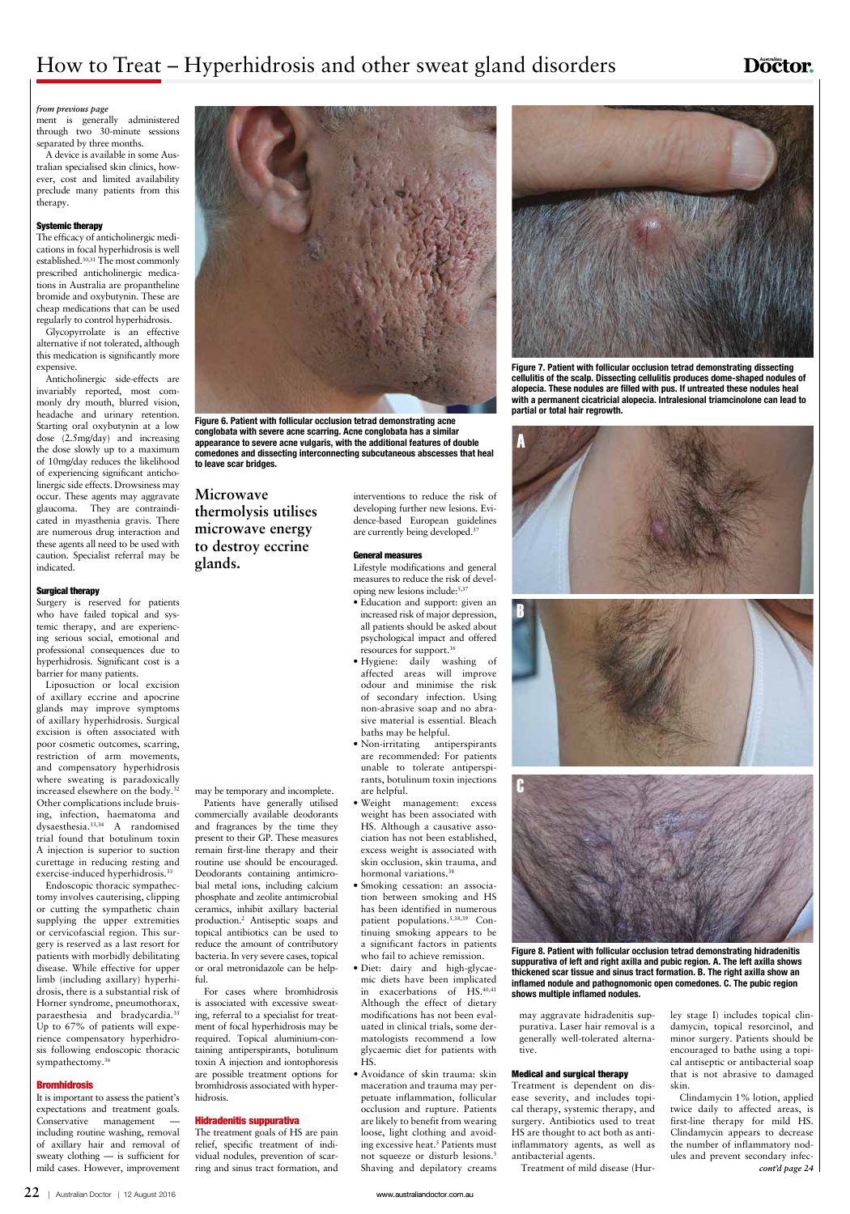## How to Treat – Hyperhidrosis and other sweat gland disorders

## **Doctor.**

ment is generally administered through two 30-minute sessions separated by three months.

A device is available in some Australian specialised skin clinics, however, cost and limited availability preclude many patients from this therapy.

#### Systemic therapy

The efficacy of anticholinergic medications in focal hyperhidrosis is well established.30,31 The most commonly prescribed anticholinergic medications in Australia are propantheline bromide and oxybutynin. These are cheap medications that can be used regularly to control hyperhidrosis.

Glycopyrrolate is an effective alternative if not tolerated, although this medication is significantly more expensive.

Liposuction or local excision of axillary eccrine and apocrine glands may improve symptoms of axillary hyperhidrosis. Surgical excision is often associated with poor cosmetic outcomes, scarring, restriction of arm movements, and compensatory hyperhidrosis where sweating is paradoxically increased elsewhere on the body.32 Other complications include bruising, infection, haematoma and dysaesthesia.33,34 A randomised trial found that botulinum toxin A injection is superior to suction curettage in reducing resting and exercise-induced hyperhidrosis.<sup>33</sup>

Anticholinergic side-effects are invariably reported, most commonly dry mouth, blurred vision, headache and urinary retention. Starting oral oxybutynin at a low dose (2.5mg/day) and increasing the dose slowly up to a maximum of 10mg/day reduces the likelihood of experiencing significant anticholinergic side effects. Drowsiness may occur. These agents may aggravate glaucoma. They are contraindicated in myasthenia gravis. There are numerous drug interaction and these agents all need to be used with caution. Specialist referral may be indicated.

Endoscopic thoracic sympathectomy involves cauterising, clipping or cutting the sympathetic chain supplying the upper extremities or cervicofascial region. This surgery is reserved as a last resort for patients with morbidly debilitating disease. While effective for upper limb (including axillary) hyperhidrosis, there is a substantial risk of Horner syndrome, pneumothorax, paraesthesia and bradycardia.35 Up to 67% of patients will experience compensatory hyperhidrosis following endoscopic thoracic sympathectomy.<sup>36</sup>

#### Surgical therapy

Surgery is reserved for patients who have failed topical and systemic therapy, and are experiencing serious social, emotional and professional consequences due to hyperhidrosis. Significant cost is a barrier for many patients.

It is important to assess the patient's expectations and treatment goals. Conservative management including routine washing, removal of axillary hair and removal of sweaty clothing — is sufficient for mild cases. However, improvement may be temporary and incomplete.

Patients have generally utilised commercially available deodorants and fragrances by the time they present to their GP. These measures remain first-line therapy and their routine use should be encouraged. Deodorants containing antimicrobial metal ions, including calcium phosphate and zeolite antimicrobial ceramics, inhibit axillary bacterial production.2 Antiseptic soaps and topical antibiotics can be used to reduce the amount of contributory bacteria. In very severe cases, topical or oral metronidazole can be helpful.

For cases where bromhidrosis is associated with excessive sweating, referral to a specialist for treatment of focal hyperhidrosis may be required. Topical aluminium-containing antiperspirants, botulinum toxin A injection and iontophoresis are possible treatment options for bromhidrosis associated with hyperhidrosis.



Figure 8. Patient with follicular occlusion tetrad demonstrating hidradenitis left and right axilla and pubic region. A. The leg

#### **Bromhidrosis**

#### Hidradenitis suppurativa

The treatment goals of HS are pain relief, specific treatment of individual nodules, prevention of scarring and sinus tract formation, and interventions to reduce the risk of developing further new lesions. Evidence-based European guidelines are currently being developed.37

#### General measures

Lifestyle modifications and general measures to reduce the risk of developing new lesions include:5,37

- Education and support: given an increased risk of major depression, all patients should be asked about psychological impact and offered resources for support.16
- Hygiene: daily washing of affected areas will improve odour and minimise the risk of secondary infection. Using non-abrasive soap and no abrasive material is essential. Bleach baths may be helpful.
- Non-irritating antiperspirants are recommended: For patients unable to tolerate antiperspirants, botulinum toxin injections are helpful.
- Weight management: excess weight has been associated with HS. Although a causative association has not been established, excess weight is associated with skin occlusion, skin trauma, and hormonal variations.<sup>38</sup>
- Smoking cessation: an association between smoking and HS has been identified in numerous patient populations.5,38,39 Continuing smoking appears to be a significant factors in patients who fail to achieve remission.

• Diet: dairy and high-glycaemic diets have been implicated in exacerbations of HS.40,41 Although the effect of dietary modifications has not been evaluated in clinical trials, some dermatologists recommend a low glycaemic diet for patients with HS.

• Avoidance of skin trauma: skin maceration and trauma may perpetuate inflammation, follicular occlusion and rupture. Patients are likely to benefit from wearing loose, light clothing and avoiding excessive heat.<sup>5</sup> Patients must not squeeze or disturb lesions.<sup>5</sup> Shaving and depilatory creams may aggravate hidradenitis suppurativa. Laser hair removal is a generally well-tolerated alternative.

#### Medical and surgical therapy

Treatment is dependent on disease severity, and includes topical therapy, systemic therapy, and surgery. Antibiotics used to treat HS are thought to act both as antiinflammatory agents, as well as antibacterial agents.

Treatment of mild disease (Hur-

ley stage I) includes topical clindamycin, topical resorcinol, and minor surgery. Patients should be encouraged to bathe using a topical antiseptic or antibacterial soap that is not abrasive to damaged skin.

Clindamycin 1% lotion, applied twice daily to affected areas, is first-line therapy for mild HS. Clindamycin appears to decrease the number of inflammatory nodules and prevent secondary infec*cont'd page 24*

**22** | Australian Doctor | 12 August 2016 www.australiandoctor.com.au

#### *from previous page*



Figure 6. Patient with follicular occlusion tetrad demonstrating acne conglobata with severe acne scarring. Acne conglobata has a similar appearance to severe acne vulgaris, with the additional features of double comedones and dissecting interconnecting subcutaneous abscesses that heal to leave scar bridges.



Figure 7. Patient with follicular occlusion tetrad demonstrating dissecting cellulitis of the scalp. Dissecting cellulitis produces dome-shaped nodules of alopecia. These nodules are filled with pus. If untreated these nodules heal with a permanent cicatricial alopecia. Intralesional triamcinolone can lead to partial or total hair regrowth.

**Microwave thermolysis utilises microwave energy to destroy eccrine glands.**

> thickened scar tissue and sinus tract formation. B. The right axilla show an inflamed nodule and pathognomonic open comedones. C. The pubic region shows multiple inflamed nodules.



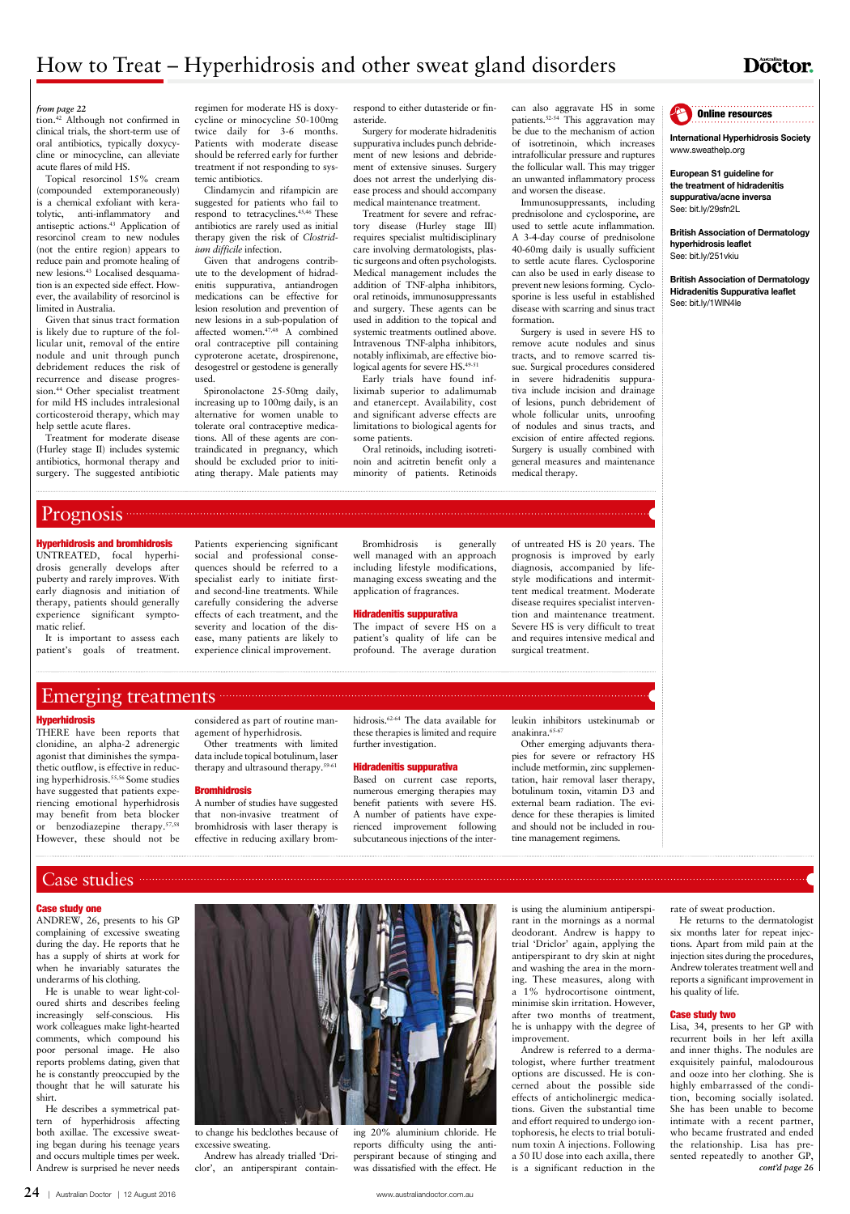**24** | Australian Doctor | 12 August 2016 www.australiandoctor.com.au

## **Doctor.**

#### Case study one

ANDREW, 26, presents to his GP complaining of excessive sweating during the day. He reports that he has a supply of shirts at work for



when he invariably saturates the underarms of his clothing.

He is unable to wear light-coloured shirts and describes feeling increasingly self-conscious. His work colleagues make light-hearted comments, which compound his poor personal image. He also reports problems dating, given that he is constantly preoccupied by the thought that he will saturate his shirt.

He describes a symmetrical pattern of hyperhidrosis affecting both axillae. The excessive sweating began during his teenage years and occurs multiple times per week. Andrew is surprised he never needs

to change his bedclothes because of excessive sweating.

Andrew has already trialled 'Driclor', an antiperspirant containing 20% aluminium chloride. He reports difficulty using the antiperspirant because of stinging and was dissatisfied with the effect. He

is using the aluminium antiperspirant in the mornings as a normal deodorant. Andrew is happy to trial 'Driclor' again, applying the antiperspirant to dry skin at night and washing the area in the morning. These measures, along with a 1% hydrocortisone ointment, minimise skin irritation. However, after two months of treatment, he is unhappy with the degree of improvement. Andrew is referred to a dermatologist, where further treatment options are discussed. He is concerned about the possible side effects of anticholinergic medications. Given the substantial time and effort required to undergo iontophoresis, he elects to trial botulinum toxin A injections. Following a 50 IU dose into each axilla, there is a significant reduction in the

rate of sweat production.

He returns to the dermatologist six months later for repeat injections. Apart from mild pain at the injection sites during the procedures, Andrew tolerates treatment well and reports a significant improvement in his quality of life.

#### Case study two

Lisa, 34, presents to her GP with recurrent boils in her left axilla and inner thighs. The nodules are exquisitely painful, malodourous and ooze into her clothing. She is highly embarrassed of the condition, becoming socially isolated. She has been unable to become intimate with a recent partner, who became frustrated and ended the relationship. Lisa has presented repeatedly to another GP, *cont'd page 26*

Treatment for severe and refractory disease (Hurley stage III) requires specialist multidisciplinary care involving dermatologists, plastic surgeons and often psychologists. Medical management includes the addition of TNF-alpha inhibitors, oral retinoids, immunosuppressants and surgery. These agents can be used in addition to the topical and systemic treatments outlined above. Intravenous TNF-alpha inhibitors, notably infliximab, are effective biological agents for severe HS.<sup>49-51</sup>



tion.42 Although not confirmed in clinical trials, the short-term use of oral antibiotics, typically doxycycline or minocycline, can alleviate acute flares of mild HS.

Topical resorcinol 15% cream (compounded extemporaneously) is a chemical exfoliant with keratolytic, anti-inflammatory and antiseptic actions.43 Application of resorcinol cream to new nodules (not the entire region) appears to reduce pain and promote healing of new lesions.43 Localised desquamation is an expected side effect. However, the availability of resorcinol is limited in Australia.

Given that sinus tract formation is likely due to rupture of the follicular unit, removal of the entire nodule and unit through punch debridement reduces the risk of recurrence and disease progression.44 Other specialist treatment for mild HS includes intralesional corticosteroid therapy, which may help settle acute flares.

Treatment for moderate disease (Hurley stage II) includes systemic antibiotics, hormonal therapy and surgery. The suggested antibiotic

regimen for moderate HS is doxycycline or minocycline 50-100mg twice daily for 3-6 months. Patients with moderate disease should be referred early for further treatment if not responding to systemic antibiotics.

Clindamycin and rifampicin are suggested for patients who fail to respond to tetracyclines.<sup>45,46</sup> These antibiotics are rarely used as initial therapy given the risk of *Clostridium difficile* infection.

Given that androgens contribute to the development of hidradenitis suppurativa, antiandrogen medications can be effective for lesion resolution and prevention of new lesions in a sub-population of affected women.<sup>47,48</sup> A combined oral contraceptive pill containing cyproterone acetate, drospirenone, desogestrel or gestodene is generally used.

Spironolactone 25-50mg daily, increasing up to 100mg daily, is an alternative for women unable to tolerate oral contraceptive medications. All of these agents are contraindicated in pregnancy, which should be excluded prior to initiating therapy. Male patients may

respond to either dutasteride or finasteride.

Surgery for moderate hidradenitis suppurativa includes punch debridement of new lesions and debridement of extensive sinuses. Surgery does not arrest the underlying disease process and should accompany medical maintenance treatment.

Early trials have found infliximab superior to adalimumab and etanercept. Availability, cost and significant adverse effects are limitations to biological agents for some patients.

Oral retinoids, including isotretinoin and acitretin benefit only a minority of patients. Retinoids

can also aggravate HS in some patients.<sup>52-54</sup> This aggravation may be due to the mechanism of action of isotretinoin, which increases intrafollicular pressure and ruptures the follicular wall. This may trigger an unwanted inflammatory process and worsen the disease.

Immunosuppressants, including prednisolone and cyclosporine, are used to settle acute inflammation. A 3-4-day course of prednisolone 40-60mg daily is usually sufficient to settle acute flares. Cyclosporine can also be used in early disease to prevent new lesions forming. Cyclosporine is less useful in established disease with scarring and sinus tract formation.

Surgery is used in severe HS to remove acute nodules and sinus tracts, and to remove scarred tissue. Surgical procedures considered in severe hidradenitis suppurativa include incision and drainage of lesions, punch debridement of whole follicular units, unroofing of nodules and sinus tracts, and excision of entire affected regions. Surgery is usually combined with general measures and maintenance medical therapy.

#### *from page 22*

#### Hyperhidrosis and bromhidrosis

UNTREATED, focal hyperhidrosis generally develops after puberty and rarely improves. With early diagnosis and initiation of therapy, patients should generally experience significant symptomatic relief.

It is important to assess each patient's goals of treatment. Patients experiencing significant social and professional consequences should be referred to a specialist early to initiate firstand second-line treatments. While carefully considering the adverse effects of each treatment, and the severity and location of the disease, many patients are likely to experience clinical improvement.

Bromhidrosis is generally well managed with an approach including lifestyle modifications, managing excess sweating and the application of fragrances.

#### Hidradenitis suppurativa

The impact of severe HS on a patient's quality of life can be profound. The average duration of untreated HS is 20 years. The prognosis is improved by early diagnosis, accompanied by lifestyle modifications and intermittent medical treatment. Moderate disease requires specialist intervention and maintenance treatment. Severe HS is very difficult to treat and requires intensive medical and surgical treatment.

## Emerging treatments

#### Hyperhidrosis

THERE have been reports that clonidine, an alpha-2 adrenergic agonist that diminishes the sympathetic outflow, is effective in reducing hyperhidrosis.55,56 Some studies have suggested that patients experiencing emotional hyperhidrosis may benefit from beta blocker or benzodiazepine therapy.57,58 However, these should not be considered as part of routine management of hyperhidrosis.

Other treatments with limited data include topical botulinum, laser therapy and ultrasound therapy.59-61

#### **Bromhidrosis**

A number of studies have suggested that non-invasive treatment of bromhidrosis with laser therapy is effective in reducing axillary bromhidrosis.62-64 The data available for these therapies is limited and require further investigation.

#### Hidradenitis suppurativa

Based on current case reports, numerous emerging therapies may benefit patients with severe HS. A number of patients have experienced improvement following subcutaneous injections of the interleukin inhibitors ustekinumab or anakinra.65-67

Other emerging adjuvants therapies for severe or refractory HS include metformin, zinc supplementation, hair removal laser therapy, botulinum toxin, vitamin D3 and external beam radiation. The evidence for these therapies is limited and should not be included in routine management regimens.



International Hyperhidrosis Society www.sweathelp.org

European S1 guideline for the treatment of hidradenitis suppurativa/acne inversa See: bit.ly/29sfn2L

British Association of Dermatology hyperhidrosis leaflet See: bit.ly/251vkiu

British Association of Dermatology Hidradenitis Suppurativa leaflet See: bit.ly/1WlN4le

## Prognosis